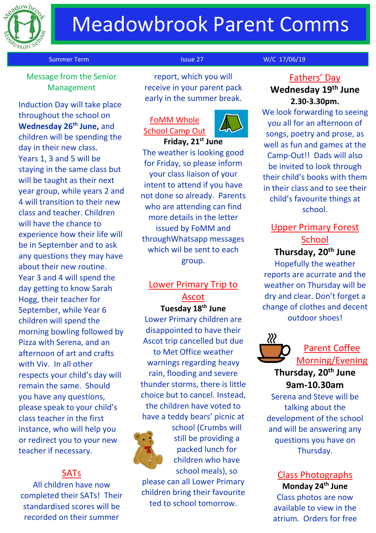

# Meadowbrook Parent Comms

### Message from the Senior Management

Induction Day will take place throughout the school on **Wednesday 26th June,** and children will be spending the day in their new class. Years 1, 3 and 5 will be staying in the same class but will be taught as their next year group, while years 2 and 4 will transition to their new class and teacher. Children will have the chance to experience how their life will be in September and to ask any questions they may have about their new routine. Year 3 and 4 will spend the day getting to know Sarah Hogg, their teacher for September, while Year 6 children will spend the morning bowling followed by Pizza with Serena, and an afternoon of art and crafts with Viv. In all other respects your child's day will remain the same. Should you have any questions, please speak to your child's class teacher in the first instance, who will help you or redirect you to your new teacher if necessary.

### SATs

All children have now completed their SATs! Their standardised scores will be recorded on their summer

report, which you will receive in your parent pack early in the summer break.

### FoMM Whole School Camp Out



**Friday, 21st June** The weather is looking good for Friday, so please inform your class liaison of your intent to attend if you have not done so already. Parents who are attending can find more details in the letter issued by FoMM and throughWhatsapp messages which wil be sent to each group.

# Lower Primary Trip to Ascot

**Tuesday 18th June**

Lower Primary children are disappointed to have their Ascot trip cancelled but due to Met Office weather warnings regarding heavy rain, flooding and severe thunder storms, there is little choice but to cancel. Instead, the children have voted to have a teddy bears' picnic at



school (Crumbs will still be providing a packed lunch for children who have school meals), so

please can all Lower Primary children bring their favourite ted to school tomorrow.

### Summer Term Issue 27 W/C 17/06/19

### Fathers' Day **Wednesday 19th June 2.30-3.30pm.**

We look forwarding to seeing you all for an afternoon of songs, poetry and prose, as well as fun and games at the Camp-Out!! Dads will also be invited to look through their child's books with them in their class and to see their child's favourite things at school.

## Upper Primary Forest **School Thursday, 20th June**

Hopefully the weather reports are acurrate and the weather on Thursday will be dry and clear. Don't forget a change of clothes and decent outdoor shoes!



# Parent Coffee Morning/Evening

## **Thursday, 20th June 9am-10.30am**

Serena and Steve will be talking about the development of the school and will be answering any questions you have on Thursday.

# Class Photographs

**Monday 24th June** Class photos are now available to view in the atrium. Orders for free